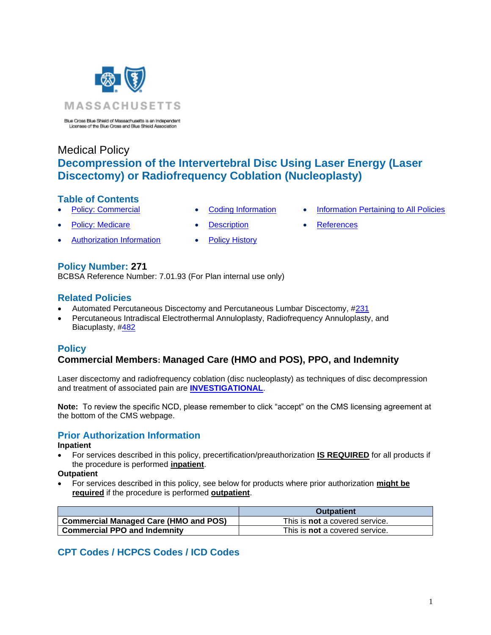

Blue Cross Blue Shield of Massachusetts is an Independent<br>Licensee of the Blue Cross and Blue Shield Association

# Medical Policy **Decompression of the Intervertebral Disc Using Laser Energy (Laser Discectomy) or Radiofrequency Coblation (Nucleoplasty)**

### **Table of Contents**

- 
- 
- **Policy: Medicare Contract [Description](#page-1-0) [References](#page-3-1)**
- [Authorization Information](#page-0-2) [Policy History](#page-2-0)
- 
- **[Policy: Commercial](#page-0-0) [Coding Information](#page-0-1) [Information Pertaining to All Policies](#page-3-0)** 
	-

# **Policy Number: 271**

BCBSA Reference Number: 7.01.93 (For Plan internal use only)

# **Related Policies**

- Automated Percutaneous Discectomy and Percutaneous Lumbar Discectomy, [#231](https://www.bluecrossma.org/medical-policies/sites/g/files/csphws2091/files/acquiadam-assets/231%20Automated%20Percutaneous%20and%20Percutaneous%20Discectomy%20prn.pdf)
- Percutaneous Intradiscal Electrothermal Annuloplasty, Radiofrequency Annuloplasty, and Biacuplasty, [#482](https://www.bluecrossma.org/medical-policies/sites/g/files/csphws2091/files/acquiadam-assets/482%20Percutaneous%20Intradiscal%20Electrothermal%20Annuloplasty,%20Radiofrequency%20Annuloplasty,%20and%20biacuplasty%20prn.pdf)

# <span id="page-0-0"></span>**Policy**

# **Commercial Members: Managed Care (HMO and POS), PPO, and Indemnity**

Laser discectomy and radiofrequency coblation (disc nucleoplasty) as techniques of disc decompression and treatment of associated pain are **[INVESTIGATIONAL](https://www.bluecrossma.org/medical-policies/sites/g/files/csphws2091/files/acquiadam-assets/Definition%20of%20Med%20Nec%20Inv%20Not%20Med%20Nec%20prn.pdf#page=1)**.

<span id="page-0-2"></span>**Note:** To review the specific NCD, please remember to click "accept" on the CMS licensing agreement at the bottom of the CMS webpage.

# **Prior Authorization Information**

#### **Inpatient**

• For services described in this policy, precertification/preauthorization **IS REQUIRED** for all products if the procedure is performed **inpatient**.

#### **Outpatient**

• For services described in this policy, see below for products where prior authorization **might be required** if the procedure is performed **outpatient**.

|                                              | <b>Outpatient</b>                     |
|----------------------------------------------|---------------------------------------|
| <b>Commercial Managed Care (HMO and POS)</b> | This is <b>not</b> a covered service. |
| <b>Commercial PPO and Indemnity</b>          | This is <b>not</b> a covered service. |

# <span id="page-0-1"></span>**CPT Codes / HCPCS Codes / ICD Codes**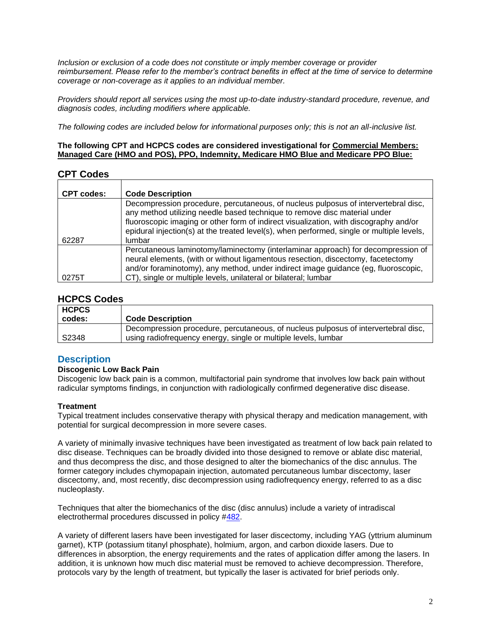*Inclusion or exclusion of a code does not constitute or imply member coverage or provider reimbursement. Please refer to the member's contract benefits in effect at the time of service to determine coverage or non-coverage as it applies to an individual member.*

*Providers should report all services using the most up-to-date industry-standard procedure, revenue, and diagnosis codes, including modifiers where applicable.*

*The following codes are included below for informational purposes only; this is not an all-inclusive list.*

#### **The following CPT and HCPCS codes are considered investigational for Commercial Members: Managed Care (HMO and POS), PPO, Indemnity, Medicare HMO Blue and Medicare PPO Blue:**

# **CPT Codes**

| <b>CPT codes:</b> | <b>Code Description</b>                                                                                                                                                                                                                                                                                                                                         |
|-------------------|-----------------------------------------------------------------------------------------------------------------------------------------------------------------------------------------------------------------------------------------------------------------------------------------------------------------------------------------------------------------|
| 62287             | Decompression procedure, percutaneous, of nucleus pulposus of intervertebral disc,<br>any method utilizing needle based technique to remove disc material under<br>fluoroscopic imaging or other form of indirect visualization, with discography and/or<br>epidural injection(s) at the treated level(s), when performed, single or multiple levels,<br>lumbar |
| 0275T             | Percutaneous laminotomy/laminectomy (interlaminar approach) for decompression of<br>neural elements, (with or without ligamentous resection, discectomy, facetectomy<br>and/or foraminotomy), any method, under indirect image guidance (eg, fluoroscopic,<br>CT), single or multiple levels, unilateral or bilateral; lumbar                                   |

### **HCPCS Codes**

| <b>HCPCS</b> |                                                                                    |
|--------------|------------------------------------------------------------------------------------|
| codes:       | <b>Code Description</b>                                                            |
|              | Decompression procedure, percutaneous, of nucleus pulposus of intervertebral disc, |
| S2348        | using radiofrequency energy, single or multiple levels, lumbar                     |

# <span id="page-1-0"></span>**Description**

#### **Discogenic Low Back Pain**

Discogenic low back pain is a common, multifactorial pain syndrome that involves low back pain without radicular symptoms findings, in conjunction with radiologically confirmed degenerative disc disease.

#### **Treatment**

Typical treatment includes conservative therapy with physical therapy and medication management, with potential for surgical decompression in more severe cases.

A variety of minimally invasive techniques have been investigated as treatment of low back pain related to disc disease. Techniques can be broadly divided into those designed to remove or ablate disc material, and thus decompress the disc, and those designed to alter the biomechanics of the disc annulus. The former category includes chymopapain injection, automated percutaneous lumbar discectomy, laser discectomy, and, most recently, disc decompression using radiofrequency energy, referred to as a disc nucleoplasty.

Techniques that alter the biomechanics of the disc (disc annulus) include a variety of intradiscal electrothermal procedures discussed in policy [#482.](https://www.bluecrossma.org/medical-policies/sites/g/files/csphws2091/files/acquiadam-assets/482%20Percutaneous%20Intradiscal%20Electrothermal%20Annuloplasty,%20Radiofrequency%20Annuloplasty,%20and%20biacuplasty%20prn.pdf)

A variety of different lasers have been investigated for laser discectomy, including YAG (yttrium aluminum garnet), KTP (potassium titanyl phosphate), holmium, argon, and carbon dioxide lasers. Due to differences in absorption, the energy requirements and the rates of application differ among the lasers. In addition, it is unknown how much disc material must be removed to achieve decompression. Therefore, protocols vary by the length of treatment, but typically the laser is activated for brief periods only.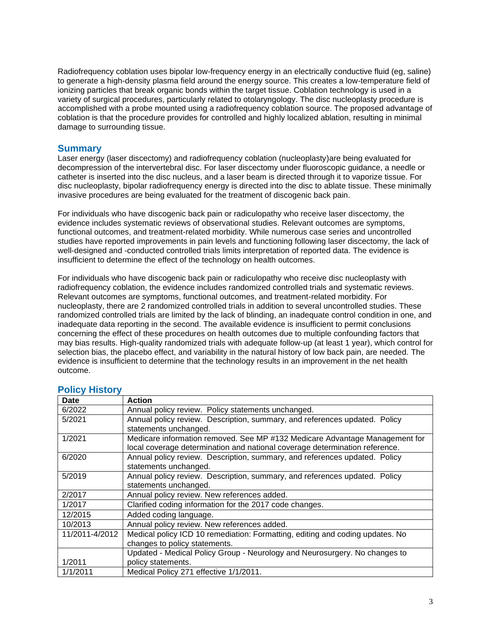Radiofrequency coblation uses bipolar low-frequency energy in an electrically conductive fluid (eg, saline) to generate a high-density plasma field around the energy source. This creates a low-temperature field of ionizing particles that break organic bonds within the target tissue. Coblation technology is used in a variety of surgical procedures, particularly related to otolaryngology. The disc nucleoplasty procedure is accomplished with a probe mounted using a radiofrequency coblation source. The proposed advantage of coblation is that the procedure provides for controlled and highly localized ablation, resulting in minimal damage to surrounding tissue.

### **Summary**

Laser energy (laser discectomy) and radiofrequency coblation (nucleoplasty)are being evaluated for decompression of the intervertebral disc. For laser discectomy under fluoroscopic guidance, a needle or catheter is inserted into the disc nucleus, and a laser beam is directed through it to vaporize tissue. For disc nucleoplasty, bipolar radiofrequency energy is directed into the disc to ablate tissue. These minimally invasive procedures are being evaluated for the treatment of discogenic back pain.

For individuals who have discogenic back pain or radiculopathy who receive laser discectomy, the evidence includes systematic reviews of observational studies. Relevant outcomes are symptoms, functional outcomes, and treatment-related morbidity. While numerous case series and uncontrolled studies have reported improvements in pain levels and functioning following laser discectomy, the lack of well-designed and -conducted controlled trials limits interpretation of reported data. The evidence is insufficient to determine the effect of the technology on health outcomes.

For individuals who have discogenic back pain or radiculopathy who receive disc nucleoplasty with radiofrequency coblation, the evidence includes randomized controlled trials and systematic reviews. Relevant outcomes are symptoms, functional outcomes, and treatment-related morbidity. For nucleoplasty, there are 2 randomized controlled trials in addition to several uncontrolled studies. These randomized controlled trials are limited by the lack of blinding, an inadequate control condition in one, and inadequate data reporting in the second. The available evidence is insufficient to permit conclusions concerning the effect of these procedures on health outcomes due to multiple confounding factors that may bias results. High-quality randomized trials with adequate follow-up (at least 1 year), which control for selection bias, the placebo effect, and variability in the natural history of low back pain, are needed. The evidence is insufficient to determine that the technology results in an improvement in the net health outcome.

| Date           | <b>Action</b>                                                                 |
|----------------|-------------------------------------------------------------------------------|
| 6/2022         | Annual policy review. Policy statements unchanged.                            |
| 5/2021         | Annual policy review. Description, summary, and references updated. Policy    |
|                | statements unchanged.                                                         |
| 1/2021         | Medicare information removed. See MP #132 Medicare Advantage Management for   |
|                | local coverage determination and national coverage determination reference.   |
| 6/2020         | Annual policy review. Description, summary, and references updated. Policy    |
|                | statements unchanged.                                                         |
| 5/2019         | Annual policy review. Description, summary, and references updated. Policy    |
|                | statements unchanged.                                                         |
| 2/2017         | Annual policy review. New references added.                                   |
| 1/2017         | Clarified coding information for the 2017 code changes.                       |
| 12/2015        | Added coding language.                                                        |
| 10/2013        | Annual policy review. New references added.                                   |
| 11/2011-4/2012 | Medical policy ICD 10 remediation: Formatting, editing and coding updates. No |
|                | changes to policy statements.                                                 |
|                | Updated - Medical Policy Group - Neurology and Neurosurgery. No changes to    |
| 1/2011         | policy statements.                                                            |
| 1/1/2011       | Medical Policy 271 effective 1/1/2011.                                        |

### <span id="page-2-0"></span>**Policy History**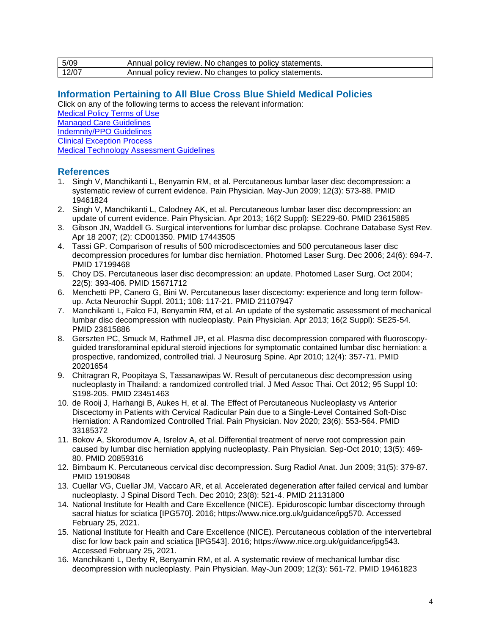| 5/09  | Annual policy review. No changes to policy statements. |
|-------|--------------------------------------------------------|
| 12/07 | Annual policy review. No changes to policy statements. |

### <span id="page-3-0"></span>**Information Pertaining to All Blue Cross Blue Shield Medical Policies**

Click on any of the following terms to access the relevant information:

[Medical Policy Terms of Use](http://www.bluecrossma.org/medical-policies/sites/g/files/csphws2091/files/acquiadam-assets/Medical_Policy_Terms_of_Use_prn.pdf) [Managed Care Guidelines](http://www.bluecrossma.org/medical-policies/sites/g/files/csphws2091/files/acquiadam-assets/Managed_Care_Guidelines_prn.pdf) [Indemnity/PPO Guidelines](http://www.bluecrossma.org/medical-policies/sites/g/files/csphws2091/files/acquiadam-assets/Indemnity_and_PPO_Guidelines_prn.pdf)

[Clinical Exception Process](http://www.bluecrossma.org/medical-policies/sites/g/files/csphws2091/files/acquiadam-assets/Clinical_Exception_Process_prn.pdf)

[Medical Technology Assessment Guidelines](http://www.bluecrossma.org/medical-policies/sites/g/files/csphws2091/files/acquiadam-assets/Medical_Technology_Assessment_Guidelines_prn.pdf)

### <span id="page-3-1"></span>**References**

- 1. Singh V, Manchikanti L, Benyamin RM, et al. Percutaneous lumbar laser disc decompression: a systematic review of current evidence. Pain Physician. May-Jun 2009; 12(3): 573-88. PMID 19461824
- 2. Singh V, Manchikanti L, Calodney AK, et al. Percutaneous lumbar laser disc decompression: an update of current evidence. Pain Physician. Apr 2013; 16(2 Suppl): SE229-60. PMID 23615885
- 3. Gibson JN, Waddell G. Surgical interventions for lumbar disc prolapse. Cochrane Database Syst Rev. Apr 18 2007; (2): CD001350. PMID 17443505
- 4. Tassi GP. Comparison of results of 500 microdiscectomies and 500 percutaneous laser disc decompression procedures for lumbar disc herniation. Photomed Laser Surg. Dec 2006; 24(6): 694-7. PMID 17199468
- 5. Choy DS. Percutaneous laser disc decompression: an update. Photomed Laser Surg. Oct 2004; 22(5): 393-406. PMID 15671712
- 6. Menchetti PP, Canero G, Bini W. Percutaneous laser discectomy: experience and long term followup. Acta Neurochir Suppl. 2011; 108: 117-21. PMID 21107947
- 7. Manchikanti L, Falco FJ, Benyamin RM, et al. An update of the systematic assessment of mechanical lumbar disc decompression with nucleoplasty. Pain Physician. Apr 2013; 16(2 Suppl): SE25-54. PMID 23615886
- 8. Gerszten PC, Smuck M, Rathmell JP, et al. Plasma disc decompression compared with fluoroscopyguided transforaminal epidural steroid injections for symptomatic contained lumbar disc herniation: a prospective, randomized, controlled trial. J Neurosurg Spine. Apr 2010; 12(4): 357-71. PMID 20201654
- 9. Chitragran R, Poopitaya S, Tassanawipas W. Result of percutaneous disc decompression using nucleoplasty in Thailand: a randomized controlled trial. J Med Assoc Thai. Oct 2012; 95 Suppl 10: S198-205. PMID 23451463
- 10. de Rooij J, Harhangi B, Aukes H, et al. The Effect of Percutaneous Nucleoplasty vs Anterior Discectomy in Patients with Cervical Radicular Pain due to a Single-Level Contained Soft-Disc Herniation: A Randomized Controlled Trial. Pain Physician. Nov 2020; 23(6): 553-564. PMID 33185372
- 11. Bokov A, Skorodumov A, Isrelov A, et al. Differential treatment of nerve root compression pain caused by lumbar disc herniation applying nucleoplasty. Pain Physician. Sep-Oct 2010; 13(5): 469- 80. PMID 20859316
- 12. Birnbaum K. Percutaneous cervical disc decompression. Surg Radiol Anat. Jun 2009; 31(5): 379-87. PMID 19190848
- 13. Cuellar VG, Cuellar JM, Vaccaro AR, et al. Accelerated degeneration after failed cervical and lumbar nucleoplasty. J Spinal Disord Tech. Dec 2010; 23(8): 521-4. PMID 21131800
- 14. National Institute for Health and Care Excellence (NICE). Epiduroscopic lumbar discectomy through sacral hiatus for sciatica [IPG570]. 2016; https://www.nice.org.uk/guidance/ipg570. Accessed February 25, 2021.
- 15. National Institute for Health and Care Excellence (NICE). Percutaneous coblation of the intervertebral disc for low back pain and sciatica [IPG543]. 2016; https://www.nice.org.uk/guidance/ipg543. Accessed February 25, 2021.
- 16. Manchikanti L, Derby R, Benyamin RM, et al. A systematic review of mechanical lumbar disc decompression with nucleoplasty. Pain Physician. May-Jun 2009; 12(3): 561-72. PMID 19461823